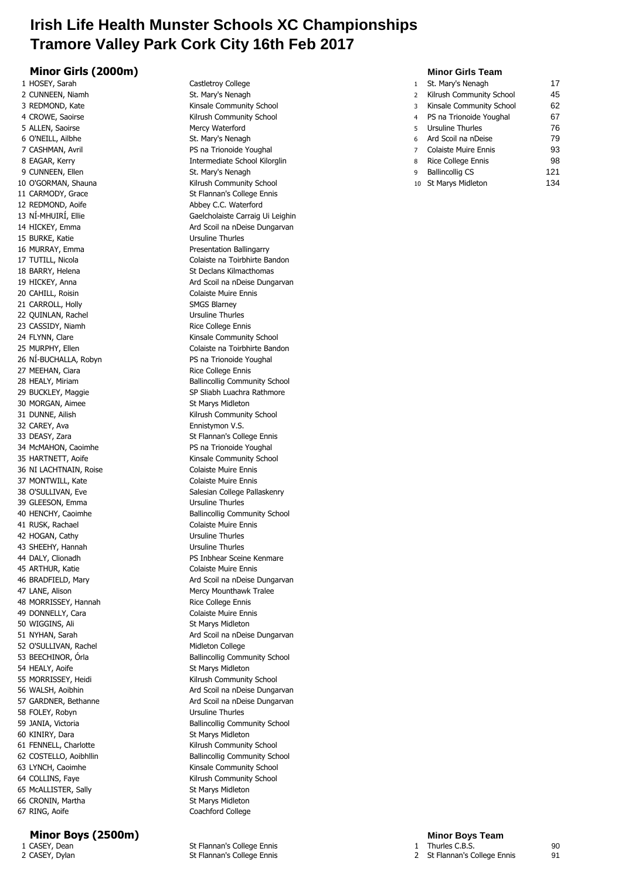## **Irish Life Health Munster Schools XC Championships Tramore Valley Park Cork City 16th Feb 2017**

### **Minor Girls (2000m) Minor Girls Team**

1 HOSEY, Sarah Castletroy College 2 CUNNEEN, Niamh St. Mary's Nenagh St. Mary's Nenagh 5 ALLEN, Saoirse Mercy Waterford 6 O'NEILL, Ailbhe St. Mary's Nenagh 6 O'NEILL, Ailbhe 7 CASHMAN, Avril **PS na Trionoide Youghal** 12 REDMOND, Aoife **Abbey C.C. Waterford** 15 BURKE, Katie Van die Einstellingung von der Ursuline Thurles 16 MURRAY, Emma Presentation Ballingarry 18 BARRY, Helena St Declans Kilmacthomas 20 CAHILL, Roisin Colaiste Muire Ennis 21 CARROLL, Holly **SMGS Blarney** 22 QUINLAN, Rachel Ursuline Thurles 23 CASSIDY, Niamh Rice College Ennis 26 NÍ-BUCHALLA, Robyn PS na Trionoide Youghal 27 MEEHAN, Ciara **Rice College Ennis** 30 MORGAN, Aimee St Marys Midleton 32 CAREY, Ava **Ennistymon V.S.** 34 McMAHON, Caoimhe PS na Trionoide Youghal 36 NI LACHTNAIN, Roise Colaiste Muire Ennis 37 MONTWILL, Kate Colaiste Muire Ennis 39 GLEESON, Emma Ursuline Thurles 41 RUSK, Rachael **Colaiste Muire Ennis** 42 HOGAN, Cathy **Ursuline Thurles** 43 SHEEHY, Hannah Ursuline Thurles 45 ARTHUR, Katie Colaiste Muire Ennis 47 LANE, Alison **Mercy Mounthawk Tralee** 48 MORRISSEY, Hannah Rice College Ennis 49 DONNELLY, Cara Colaiste Muire Ennis 50 WIGGINS, Ali St Marys Midleton 52 O'SULLIVAN, Rachel Midleton College 54 HEALY, Aoife St Marys Midleton 58 FOLEY, Robyn Ursuline Thurles 60 KINIRY, Dara St Marys Midleton 65 McALLISTER, Sally St Marys Midleton 66 CRONIN, Martha St Marys Midleton 67 RING, Aoife Coachford College

**Minor Boys (2500m) Minor Boys Team**

3 REDMOND, Kate Kinsale Community School 4 CROWE, Saoirse Kilrush Community School 8 EAGAR, Kerry **Intermediate School Kilorglin** 10 O'GORMAN, Shauna Kilrush Community School 11 CARMODY, Grace St Flannan's College Ennis 13 NÍ-MHUIRÍ, Ellie Gaelcholaiste Carraig Ui Leighin 14 HICKEY, Emma Ard Scoil na nDeise Dungarvan 17 TUTILL, Nicola Colaiste na Toirbhirte Bandon 19 HICKEY, Anna **Ard Scoil na nDeise Dungarvan** 24 FLYNN, Clare **Kinsale Community School** 25 MURPHY, Ellen Colaiste na Toirbhirte Bandon 28 HEALY, Miriam **Ballincollig Community School** 29 BUCKLEY, Maggie SP Sliabh Luachra Rathmore 31 DUNNE, Ailish **Kilrush Community School** 33 DEASY, Zara St Flannan's College Ennis 35 HARTNETT, Aoife **Kinsale Community School** 38 O'SULLIVAN, Eve Salesian College Pallaskenry 40 HENCHY, Caoimhe Ballincollig Community School 44 DALY, Clionadh PS Inbhear Sceine Kenmare 46 BRADFIELD, Mary **Ard Scoil na nDeise Dungarvan** 51 NYHAN, Sarah Ard Scoil na nDeise Dungarvan 53 BEECHINOR, Órla **Ballincollig Community School** 55 MORRISSEY, Heidi Kilrush Community School 56 WALSH, Aoibhin **Ard Scoil na nDeise Dungarvan** 57 GARDNER, Bethanne Ard Scoil na nDeise Dungarvan 59 JANIA, Victoria **Ballincollig Community School** 61 FENNELL, Charlotte Kilrush Community School 62 COSTELLO, Aoibhlin Ballincollig Community School 63 LYNCH, Caoimhe **Kinsale Community School** 64 COLLINS, Faye Kilrush Community School

| 1 HOSEY, Sarah     | Castletroy College            |   | St. Mary's Nenagh         | 17  |
|--------------------|-------------------------------|---|---------------------------|-----|
| 2 CUNNEEN, Niamh   | St. Mary's Nenagh             |   | Kilrush Community School  | 45  |
| 3 REDMOND, Kate    | Kinsale Community School      |   | Kinsale Community School  | 62  |
| 4 CROWE, Saoirse   | Kilrush Community School      |   | 4 PS na Trionoide Youghal | 67  |
| 5 ALLEN, Saoirse   | Mercy Waterford               | 5 | Ursuline Thurles          | 76  |
| 6 O'NEILL, Ailbhe  | St. Mary's Nenagh             |   | 6 Ard Scoil na nDeise     | 79  |
| 7 CASHMAN, Avril   | PS na Trionoide Youghal       |   | Colaiste Muire Ennis      | 93  |
| 8 EAGAR, Kerry     | Intermediate School Kilorglin | 8 | Rice College Ennis        | 98  |
| 9 CUNNEEN, Ellen   | St. Mary's Nenagh             | q | <b>Ballincollig CS</b>    | 121 |
| 0 O'GORMAN, Shauna | Kilrush Community School      |   | 10 St Marys Midleton      | 134 |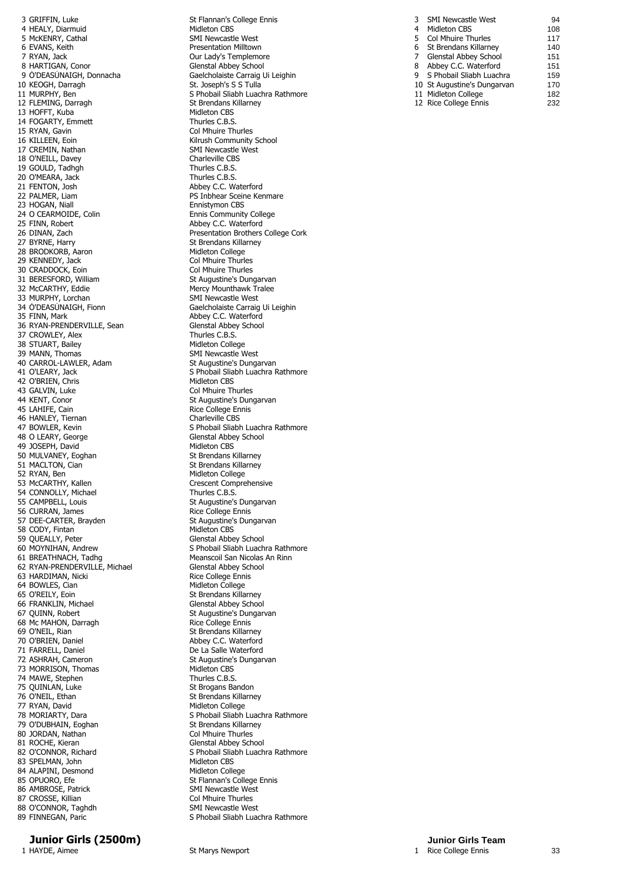3 GRIFFIN, Luke St Flannan's College Ennis<br>4 HEALY, Diarmuid St Flannan's College Ennis 4 HEALY, Diarmuid<br>5 McKENRY, Cathal 5 McKENRY, Cathal SMI Newcastle West<br>6 EVANS, Keith SMI Newsell Communist Presentation Milltown 6 EVANS, Keith Presentation Milltown 7 RYAN, Jack Our Lady's Templemore 9 Ó'DEASÚNAIGH, Donnacha<br>10 KEOGH, Darragh Gaelcholaiste Carraig Ui Leighin 12 FLEMING, Darragh St Brendans I<br>13 HOFFT, Kuba St Brendans I Midleton CBS 13 HOFFT, Kuba Midleton CBS 14 FOGARTY, Emmett<br>15 RYAN, Gavin 16 KILLEEN, Eoin **Killeen**, Eoin **Killeen**, Eoin 17 CREMIN, Nathan SMI Newcastle West<br>
18 O'NEILL. Davev<br>
Charleville CBS 18 O'NEILL, Davey **Charleville CBS** 19 GOULD, Tadhgh Thurles C.B.S. 20 O'MEARA, Jack Thurles C.B.S.<br>21 FENTON, Josh Abbey C.C. Wi 22 PALMER, Liam **PS Inbhear Sceine Kenmare**<br>
23 HOGAN, Niall **PS Installer COVERTS** Ennistymon CBS 23 HOGAN, Niall **Ennistymon CBS**<br>
24 O CEARMOIDE, Colin **Ennis Community**<br>
Ennis Community 24 O CEARMOIDE, Colin **Ennis Community College**<br>25 FINN. Robert **Engine College** 25 FINN. Robert 25 FINN, Robert Abbey C.C. Waterford<br>
26 DINAN, Zach Abbey C.C. Waterford<br>
Presentation Brothers 28 BRODKORB, Aaron Midleton College<br>29 KENNEDY, Jack Midleton Col Mhuire Thurles 29 KENNEDY, Jack Col Mhuire Thurles<br>
20 CRADDOCK, Eoin Col Mhuire Thurles 30 CRADDOCK, Eoin<br>31 BERESFORD, William of the Mercy Mounthawk Transformation of the Mercy Mounthawk Tralee<br>33 MURPHY, Lorchan Mercy Mounthawk Tralee 33 MURPHY, Lorchan<br>34 O'DEASUNAIGH, Fionn 34 Ó'DEASÚNAIGH, Fionn<br>35 FINN, Mark Gaelcholaiste Carraig Ui Leighin 36 RYAN-PRENDERVILLE, Sean Glenstal Abbey School Glenstal Abbey School (State School) 37 CROWLEY, Alex 38 STUART, Bailey Midleton College 39 MANN, Thomas SMI Newcastle West<br>40 CARROL-LAWLER, Adam SMI St Augustine's Dungarvan 40 CARROL-LAWLER, Adam<br>41 O'LEARY, Jack 42 O'BRIEN, Chris 43 GALVIN, Luke<br>44 KENT, Conor Collection St Augustine's Dun 45 LAHIFE, Cain and Santismus and Santismus Rice College Ennis<br>46 HANLEY, Tiernan 46 HANLEY, Tiernan<br>47 BOWLER, Kevin 48 O LEARY, George Glenstal Abbey School<br>49 JOSEPH. David Glenstal Abbey School (1995) 49 JOSEPH, David 50 MULVANEY, Eoghan St Brendans Killarney 51 MACLTON, Cian State Brendans Killarney<br>52 RYAN, Ben State Brendans Midleton College 52 RYAN, Ben Midleton College<br>
53 McCARTHY, Kallen Midleton Compre 54 CONNOLLY, Michael 55 CAMPBELL, Louis St Augustine's Dungarvan<br>56 CURRAN, James St Augustine's Dungarvan 56 CURRAN, James 57 DEE-CARTER, Brayden St Augustine's Dungarvan<br>58 CODY. Fintan 58 CODY, Fintan<br>59 QUEALLY, Peter 59 QUEALLY, Peter Glenstal Abbey School<br>1999 GO MOYNIHAN, Andrew Glenstal School School Sliabh Luach 62 RYAN-PRENDERVILLE, Michael 63 HARDIMAN, Nicki **Rice College Ennis** 64 BOWLES, Cian and Solid Midleton College<br>65 O'REILY, Eoin and St Brendans Killa 66 FRANKLIN, Michael<br>67 OUINN, Robert 68 Mc MAHON, Darragh 69 O'NEIL, Rian St Brendans Killarney 70 O'BRIEN, Daniel **Abbey C.C. Waterford**<br>71 FARRELL, Daniel **Abbey C.C. Waterford** 71 FARRELL, Daniel<br>72 ASHRAH, Cameron 73 MORRISON, Thomas Midleton CBS<br>74 MAWE. Stephen Midleton CBS 74 MAWE, Stephen 75 QUINLAN, Luke St Brogans Bandon 76 O'NEIL, Ethan St Brendans Killarney 77 RYAN, David<br>
78 MORIARTY, Dara<br>
78 MORIARTY, Dara 79 O'DUBHAIN, Eoghan St Brendans Killarn<br>
80 JORDAN. Nathan St Brendans Killarn<br>
St Brendans Killarn 80 JORDAN, Nathan 81 ROCHE, Kieran Glenstal Abbey School 83 SPELMAN, John Midleton CBS<br>84 ALAPINI, Desmond Midleton College 84 ALAPINI, Desmond<br>85 OPUORO, Efe 85 OPUORO, Efe St Flannan's College Ennis<br>86 AMBROSE, Patrick St Flannan's College Ennis 87 CROSSE, Killian 88 O'CONNOR, Taghdh SMI Newcastle West 89 FINNEGAN, Paric Controlled SMI Newcastle West S

**Junior Girls (2500m) Junior Girls Team**<br>1 HAYDE, Aimee **Junior Girls Team**<br>1 Rice College Ennis

Glenstal Abbey School St. Joseph's S S Tulla 11 MURPHY, Ben States College 12 S Phobail Sliabh Luachra Rathmore 12 FLEMING. Darrach Col Mhuire Thurles Abbey C.C. Waterford examined the presentation Brothers College Cork<br>
26 DINAN, Zach Presentation Brothers College Cork<br>
27 BYRNE, Harry St Brendans Killarney<br>Midleton College St Augustine's Dungarvan Abbey C.C. Waterford<br>Glenstal Abbey School S Phobail Sliabh Luachra Rathmore<br>Midleton CBS St Augustine's Dungarvan 5 Phobail Sliabh Luachra Rathmore Crescent Comprehensive<br>Thurles C.B.S. 60 MOYNIHAN, Andrew S Phobail Sliabh Luachra Rathmore<br>61 BREATHNACH, Tadhg San Meanscoil San Nicolas An Rinn **Meanscoil San Nicolas An Rinn<br>Glenstal Abbey School** St Brendans Killarney<br>Glenstal Abbey School St Augustine's Dungarvan<br>Rice College Ennis St Augustine's Dungarvan<br>Midleton CBS S Phobail Sliabh Luachra Rathmore<br>St Brendans Killarney 82 O'CONNOR, Richard Sand School Silabh Luachra Rathmore<br>
S Phobail Sliabh Luachra Rathmore<br>
Midleton CBS **SMI Newcastle West<br>Col Mhuire Thurles** S Phobail Sliabh Luachra Rathmore

St Marys Newport

| 3 | <b>SMI Newcastle West</b>    | 94  |
|---|------------------------------|-----|
| 4 | Midleton CBS                 | 108 |
| 5 | <b>Col Mhuire Thurles</b>    | 117 |
| 6 | St Brendans Killarney        | 140 |
| 7 | <b>Glenstal Abbey School</b> | 151 |
| 8 | Abbey C.C. Waterford         | 151 |
| ٩ | S Phobail Sliabh Luachra     | 159 |
|   | 10 St Augustine's Dungarvan  | 170 |
|   | 11 Midleton College          | 182 |
|   | 12 Rice College Ennis        | 232 |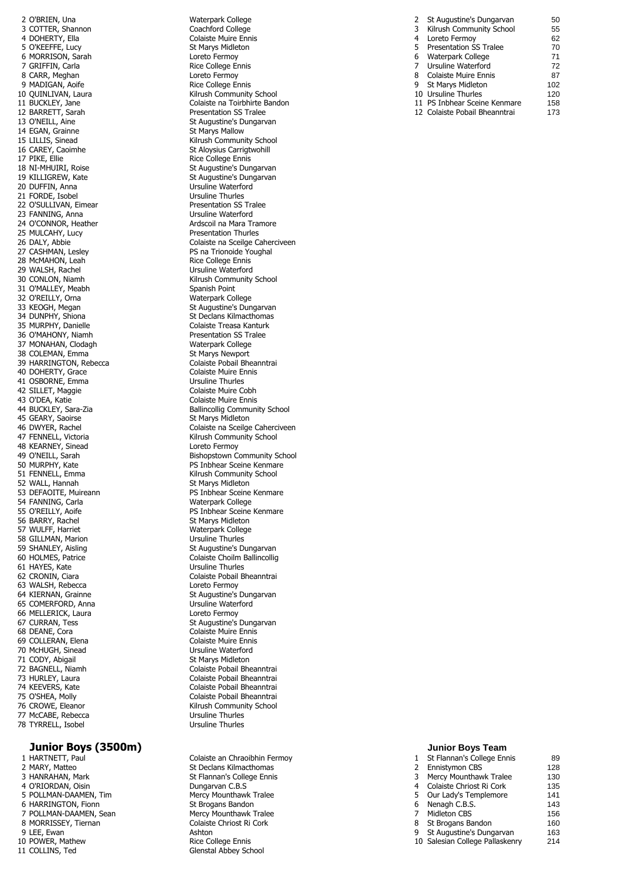2 O'BRIEN, Una Waterpark College<br>
2 COTTER, Shannon<br>
Coachford College 3 COTTER, Shannon<br>4 DOHERTY, Ella 4 DOHERTY, Ella Colaiste Muire Ennis<br>5 O'KEEFFE. Lucy Colaiste Marys Midleton 6 MORRISON, Sarah Loreto Fermoy 7 GRIFFIN, Carla 8 CARR, Meghan Loreto Fermoy 9 MADIGAN, Aoife 12 BARRETT, Sarah<br>13 O'NEILL, Aine 14 EGAN, Grainne 16 CAREY, Caoimhe St Aloysius Carrigtwohill<br>17 PIKE. Ellie St Aloysius Carrigtwohill<br>Rice College Ennis 17 PIKE, Ellie Rice College Ennis<br>18 NT-MHUTRT, Roise Rice College Ennis<br>18 NT-MHUTRT, Roise 21 FORDE, Isobel Ursuline Thurles<br>
22 O'SULLIVAN, Eimear Care Connection SS Tralee 22 O'SULLIVAN, Eimear **Presentation SS Transformation SS Transformation SS Transformation SS Transformation SS Tra**<br>23 FANNING. Anna 23 FANNING, Anna<br>24 O'CONNOR, Heather 25 MULCAHY, Lucy 28 McMAHON, Leah **Rice College Ennis**<br>29 WALSH, Rachel **Richard Engine Engine College Ennis** 29 WALSH, Rachel<br>30 CONLON, Niamh 31 O'MALLEY, Meabh Spanish Point 32 O'REILLY, Orna **Waterpark College (1986)**<br>33 KEOGH, Megan Manager (1986) St Augustine's Dur 36 O'MAHONY, Niamh Presentation SS Translation SS Translation SS Translation SS Translation SS Translation SS Tr 37 MONAHAN, Clodagh 39 HARRINGTON, Rebecca<br>
40 DOHERTY, Grace Colaiste Muire Ennis 40 DOHERTY, Grace Colaiste Muire E<br>
41 OSBORNE, Emma Colaiste Mursuline Thurles 41 OSBORNE, Emma<br>42 SILLET. Maggie de la controllation de la Colaiste Muire Cobh 42 SILLET, Maggie 43 O'DEA, Katie Colaiste Muire Ennis<br>14 BUCKLEY, Sara-Zia Communistic Ballincollig Communi 45 GEARY, Saoirse<br>46 DWYER, Rachel 48 KEARNEY, Sinead 52 WALL, Hannah<br>53 DEFAOITE, Muireann 54 FANNING, Carla 56 BARRY, Rachel St Marys Midleton<br>57 WULFF, Harriet St Marties Materpark College 57 WULFF, Harriet **Waterpark Collegence Waterpark Collegence** Waterpark Collegence B<br>58 GILLMAN, Marion Water Water Wiseline Thurles 58 GILLMAN, Marion<br>59 SHANLEY, Aisling 61 HAYES, Kate 63 WALSH, Rebecca and the control of the control of the control of the control of the control of the control o<br>Galaxy St Augustine's St Augustine's 65 COMERFORD, Anna Ursuline Waterford 66 MELLERICK, Laura 68 DEANE, Cora **Colaiste Muire Ennis** 69 COLLERAN, Elena Colaiste Muire Ennis<br>
70 McHUGH, Sinead Colaiste Musuline Waterford 70 McHUGH, Sinead<br>71 CODY, Abigail 71 CODY, Abigail **St Marys Midleton**<br>
72 BAGNELL, Niamh **State Abiation** Colaiste Pobail Bh 77 McCABE, Rebecca<br>
78 TYRRELL, Isobel<br>
179 Ursuline Thurles 78 TYRRELL, Isobel

### **Junior Boys (3500m) Junior Boys Team**

1 HARTNETT, Paul Colaiste an Chraoibhin Fermoy 2 MARY, Matteo St Declans Kilmacthomas 3 HANRAHAN, Mark St Flannan's College Ennis<br>
4 O'RIORDAN, Oisin<br>
St Flannanyan C.B.S 4 O'RIORDAN, Oisin<br>5 POLLMAN-DAAMEN, Tim 6 HARRINGTON, Fionn 7 POLLMAN-DAAMEN, Sean Mercy Mounthawk Tralee 8 MORRISSEY, Tiernan Colaiste Chriost Ri Cork 9 LEE, Ewan Ashton Ashton Ashton Ashton Ashton Ashton Ashton Ashton Ashton Ashton Ashton Ashton Ashton Ashton <br>Ashton Ashton Ashton Ashton Ashton Ashton Ashton Ashton Ashton Ashton Ashton Ashton Ashton Ashton Ashton Ashto 11 COLLINS, Ted Glenstal Abbey School

St Marys Midleton<br>Loreto Fermov 10 QUINLIVAN, Laura **Kilrush Community School** Kilrush Community School 11 BUCKLEY, Jane Colaiste na Toirbhirte Bandon<br>Presentation SS Tralee St Augustine's Dungarvan<br>St Marys Mallow 15 LILLIS, Sinead **Kilrush Community School**<br>16 CAREY, Caoimhe **Kilrush Community School**<br>5 St Aloysius Carrigtwohill 18 NÍ-MHUIRI, Roise St Augustine's Dungarvan<br>19 KILLIGREW, Kate St Augustine's Dungarvan 19 KILLIGREW, Kate St Augustine's Dungarvan<br>19 DUFFIN, Anna St Augustine Waterford Ursuline Waterford Ardscoil na Mara Tramore<br>Presentation Thurles 26 DALY, Abbie Colaiste na Sceilge Caherciveen<br>27 CASHMAN, Lesley Colaiste na Trionoide Youghal PS na Trionoide Youghal Kilrush Community School 33 KEOGH, Megan St Augustine's Dungarvan<br>34 DUNPHY, Shiona St Declars Kilmacthomas 34 DUNPHY, Shiona<br>35 MURPHY, Danielle State State Colaiste Treasa Kanturk Colaiste Treasa Kanturk<br>Presentation SS Tralee 38 COLEMAN, Emma<br>39 HARRINGTON, Rebecca<br>39 HARRINGTON, Rebecca Ballincollig Community School<br>St Marys Midleton Colaiste na Sceilge Caherciveen 47 FENNELL, Victoria **Kilrush Community School**<br>48 KEARNEY, Sinead **Killed Community School** 49 O'NEILL, Sarah Bishopstown Community School 50 MURPHY, Kate **PS Inbhear Sceine Kenmare**<br>
51 FENNELL, Emma Kilrush Community School<br>St Marys Midleton PS Inbhear Sceine Kenmare<br>Waterpark College 55 O'REILLY, Aoife **PS Inbhear Sceine Kenmare** 59 SHANLEY, Aisling St Augustine's Dungarvan (St Augustine's Dungarvan (St Augustine's Dungarvan (St Augustine<br>St Augustine (St Augustine Shahim Colaiste Choilm Ballincollig Colaiste Choilm Ballincollig<br>Ursuline Thurles 62 CRONIN, Ciara **Colaiste Pobail Bheanntrai** St Augustine's Dungarvan<br>Ursuline Waterford 67 CURRAN, Tess St Augustine's Dungarvan Colaiste Pobail Bheanntrai 73 HURLEY, Laura Colaiste Pobail Bheanntrai 74 KEEVERS, Kate Colaiste Pobail Bheanntrai 75 O'SHEA, Molly Colaiste Pobail Bheanntrai 76 CROWE, Eleanor **Came Community School**<br>77 McCABE, Rebecca **Community School** Ursuline Thurles

|   | St Augustine's Dungarvan      | 50  |
|---|-------------------------------|-----|
| 3 | Kilrush Community School      | 55  |
| 4 | Loreto Fermoy                 | 62  |
| 5 | <b>Presentation SS Tralee</b> | 70  |
| 6 | Waterpark College             | 71  |
| 7 | Ursuline Waterford            | 72  |
| 8 | Colaiste Muire Ennis          | 87  |
| 9 | <b>St Marys Midleton</b>      | 102 |
|   | 10 Ursuline Thurles           | 120 |
|   | 11 PS Inbhear Sceine Kenmare  | 158 |
|   | 12 Colaiste Pobail Bheanntrai | 173 |

| 1 HARTNETT, Paul       | Colaiste an Chraoibhin Fermoy | St Flannan's College Ennis      | 89  |
|------------------------|-------------------------------|---------------------------------|-----|
| 2 MARY, Matteo         | St Declans Kilmacthomas       | Ennistymon CBS                  | 128 |
| 3 HANRAHAN, Mark       | St Flannan's College Ennis    | Mercy Mounthawk Tralee          | 130 |
| 4 O'RIORDAN, Oisin     | Dungarvan C.B.S               | 4 Colaiste Chriost Ri Cork      | 135 |
| 5 POLLMAN-DAAMEN, Tim  | Mercy Mounthawk Tralee        | 5 Our Lady's Templemore         | 141 |
| 6 HARRINGTON, Fionn    | St Brogans Bandon             | 6 Nenagh C.B.S.                 | 143 |
| 7 POLLMAN-DAAMEN, Sean | Mercy Mounthawk Tralee        | Midleton CBS                    | 156 |
| 8 MORRISSEY, Tiernan   | Colaiste Chriost Ri Cork      | 8 St Brogans Bandon             | 160 |
| 9 LEE, Ewan            | Ashton                        | 9 St Augustine's Dungarvan      | 163 |
| 10 POWER, Mathew       | Rice College Ennis            | 10 Salesian College Pallaskenry | 214 |
| 11 COLLINS, Ted        | Glenstal Abbey School         |                                 |     |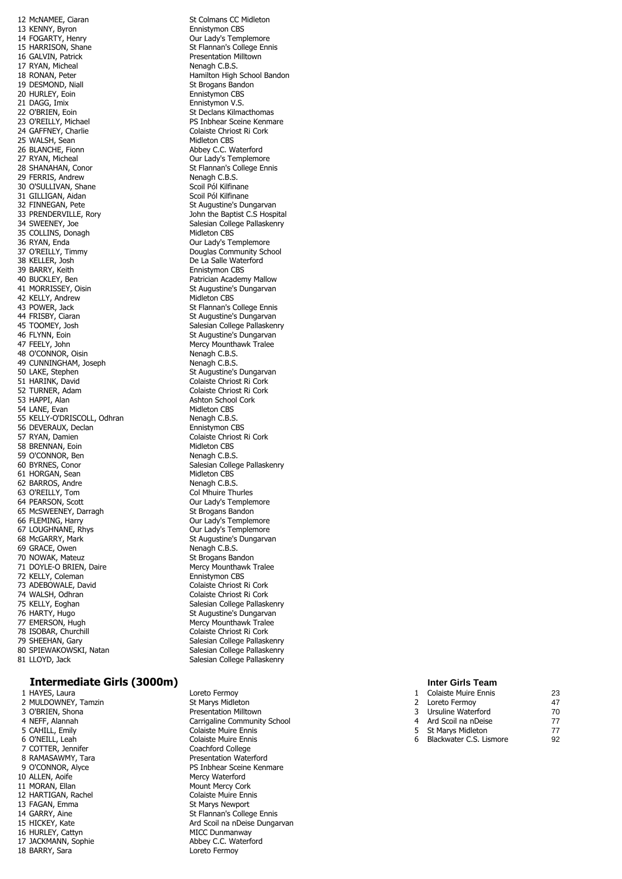12 McNAMEE, Ciaran St Colmans CC Midleton<br>13 KENNY, Byron St Colmans CC Midleton 13 KENNY, Byron<br>14 FOGARTY, Henry 14 FOGARTY, Henry Our Lady's Templemore 15 HARRISON, Shane St Flannan's College Ennis<br>16 GALVIN. Patrick St Flannan's College Ennis 17 RYAN, Micheal 18 RONAN, Peter **Hamilton High School Bandon**<br>19 DESMOND, Niall **Hamilton High St Brogans Bandon** 20 HURLEY, Eoin **Ennistymon CBS**<br>21 DAGG. Imix **Ennistymon V.S.** 21 DAGG, Imix **Ennistymon V.S.**<br>22 O'BRIEN, Eoin **Ennistymon V.S.** 22 O'BRIEN, Eoin St Declans Kilmacthomas<br>23 O'REILLY. Michael St Declans St Declans Kilmacthomas 24 GAFFNEY, Charlie 25 WALSH, Sean Midleton CBS<br>26 BLANCHE, Fionn Market Mobey C.C. W 26 BLANCHE, Fionn 27 But and 27 RYAN, Micheal 27 RYAN, Micheal 27 RYAN, Micheal **Our Lady's Templemore** 28 SHANAHAN, Conor St Flannan's College Ennis 29 FERRIS, Andrew Nenagh C.B.S.<br>
29 FERRIS, Andrew Nenagh C.B.S.<br>
30 O'SULLIVAN. Shane New Scoil Pól Kilfinane 30 O'SULLIVAN, Shane 31 GILLIGAN, Aidan Scoil Pól Kilfinane<br>32 FINNEGAN, Pete States Standard St Augustine's Du 33 PRENDERVILLE, Rory<br>34 SWEENEY, Joe 35 COLLINS, Donagh 36 RYAN, Enda<br>37 O'REILLY, Timmy The Community School of Bouglas Community School 38 KELLER, Josh (1988) Sandwich House De La Salle Waterford (1989) BARRY, Keith (1988) Sandwich House Ennistymon CBS 39 BARRY, Keith<br>40 BUCKLEY, Ben 41 MORRISSEY, Oisin St Augustine's Dungarvan 42 KELLY, Andrew **Midleton CBS**<br>43 POWER, Jack **Midleton CBS** 43 POWER, Jack St Flannan's College Ennis<br>44 FRISBY, Ciaran St Flannan's St Augustine's Dungarvan 44 FRISBY, Ciaran State of the State State State State State State State State State State State State State S<br>Salesian College Pallasken State State State State State State State State State State State State State State 45 TOOMEY, Josh Salesian College Pallaskenry<br>46 FLYNN, Eoin Sales St Augustine's Dungarvan 47 FEELY, John Mercy Mounthawk Tralee 48 O'CONNOR, Oisin **Nenagh C.B.S.**<br>49 CUNNINGHAM, Joseph Nenagh C.B.S. 49 CUNNINGHAM, Joseph<br>50 LAKE, Stephen 50 LAKE, Stephen St Augustine's Dungarvan<br>51 HARINK, David St Augustine's Dungarvan 51 HARINK, David Colaiste Chriost Ri Cork 52 TURNER, Adam 53 HAPPI, Alan Ashton School Cork 54 LANE, Evan Midleton CBS<br>55 KELLY-O'DRISCOLL, Odhran Menagh C.B.S. 55 KELLY-O'DRISCOLL, Odhran Nenagh C.B.S.<br>56 DEVERAUX, Declan New York Ennistymon CBS 56 DEVERAUX, Declan 57 RYAN, Damien Colaiste Chriost Ri Cork<br>58 BRENNAN, Eoin Corresponding Midleton CBS 58 BRENNAN, Foin 59 O'CONNOR, Ben Nenagh C.B.S. 60 BYRNES, Conor Salesian College Pallaskenry<br>61 HORGAN. Sean Salesian College Pallaskenry 61 HORGAN, Sean Midleton CBS<br>62 BARROS, Andre Menagh C.B.S. 62 BARROS, Andre<br>63 O'REILLY, Tom 63 O'REILLY, Tom Col Mhuire Thurles<br>64 PEARSON, Scott Collection Collection Collection Collection Collection Collection Collection Collection Col 65 McSWEENEY, Darragh St Brogans Bandon 66 FLEMING, Harry **Call Controller Controller Controller Controller Controller Controller Controller Controller**<br>
Our Lady's Templemore 67 LOUGHNANE, Rhys COUT Lady's Templemore<br>68 McGARRY, Mark County St Augustine's Dungarva 69 GRACE, Owen **Nenagh C.B.S.**<br>The Nenagh C.B.S. Nenagh C.B.S. To NOWAK. Mateuz 70 NOWAK, Mateuz 71 DOYLE-O BRIEN, Daire Mercy Mounthawk Tralee 72 KELLY, Coleman **Ennistymon CBS** 73 ADEBOWALE, David<br>74 WALSH, Odhran Colaiste Chriost Ri Cork Colaiste Chriost Ri Cork 74 WALSH, Odhran Colaiste Chriost Ri Cork 75 KELLY, Eoghan Salesian College Pallaskenry<br>76 HARTY, Hugo Salesian Strausstrauss Strausstrauss Strausstrauss Strausstrauss Strauss Strauss Strauss Straus 77 EMERSON, Hugh Mercy Mounthawk Tralee 78 ISOBAR, Churchill Colaiste Chriost Ri Cork (Colaiste Chriost Ri Cork<br>19 SHEEHAN, Gary Colaiste College Pallask<br>19 Salesian College Pallask (Colaiste College Pallask 80 SPIEWAKOWSKI, Natan Salesian College Pallaskenry<br>81 LLOYD, Jack Salesian College Pallaskenry

### **Intermediate Girls (3000m) Inter Girls Team**

1 HAYES, Laura Loreto Fermoy 2 MULDOWNEY, Tamzin St Marys Midleton 3 O'BRIEN, Shona **Presentation Milltown** 6 O'NEILL, Leah<br>7 COTTER, Jennifer 7 COTTER, Jennifer Coachford College<br>
2 RAMASAWMY, Tara Contract Contract Presentation Wate 8 RAMASAWMY, Tara Presentation Waterford 9 O'CONNOR, Alyce Presentation Waterford 10 ALLEN, Aoife **Mercy Waterford**<br>11 MORAN. Ellan Mount Mercy Cor 12 HARTIGAN, Rachel Colaiste Muire Ennis<br>13 FAGAN, Emma<br>St Marys Newport 13 FAGAN, Emma 16 HURLEY, Cattyn **MICC Dunmanway**<br>17 JACKMANN. Sophie **Microsoft Contract Abbey C.C.** Waterford 17 JACKMANN, Sophie 18 BARRY, Sara **Loreto Fermoy** 

**Presentation Milltown**<br>Nenagh C B S St Brogans Bandon PS Inbhear Sceine Kenmare<br>Colaiste Chriost Ri Cork St Augustine's Dungarvan<br>John the Baptist C.S Hospital Salesian College Pallaskenry<br>Midleton CBS Douglas Community School Patrician Academy Mallow St Augustine's Dungarvan Colaiste Chriost Ri Cork Our Lady's Templemore St Augustine's Dungarvan<br>Nenagh C.B.S. St Augustine's Dungarvan Salesian College Pallaskenry Salesian College Pallaskenry

4 NEFF, Alannah **Carrigaline Community School**<br>5 CAHILL, Emily **Carrier Colaiste Muire Ennis** Colaiste Muire Ennis<br>Colaiste Muire Ennis PS Inbhear Sceine Kenmare Mount Mercy Cork 14 GARRY, Aine St Flannan's College Ennis 15 HICKEY, Kate **Ard Scoil na nDeise Dungarvan** 

1 Colaiste Muire Ennis 23<br>2 Loreto Fermov 47 Loreto Fermoy 3 Ursuline Waterford 70 4 Ard Scoil na nDeise 77 5 St Marys Midleton 77<br>6 Blackwater C S Lismore 92 Blackwater C.S. Lismore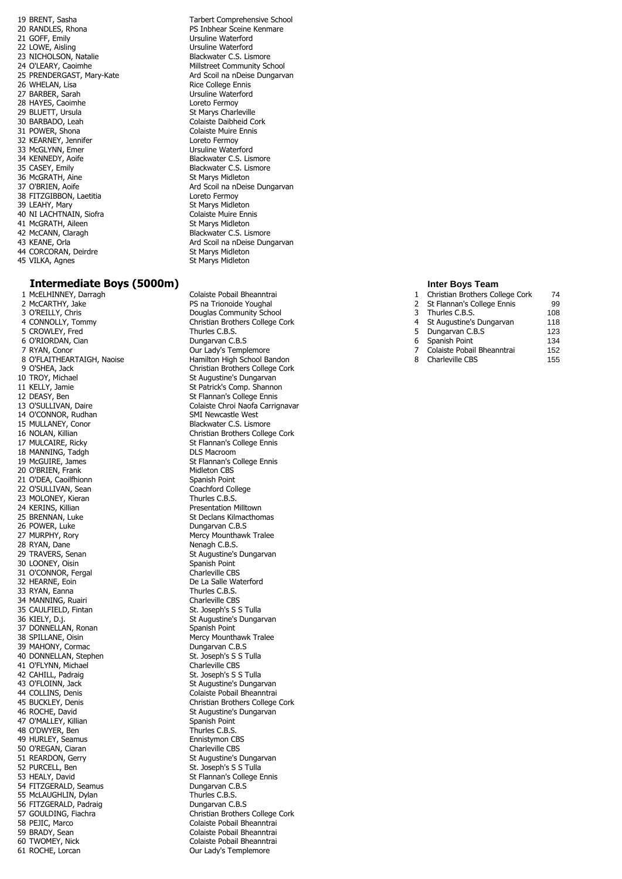20 RANDLES, Rhona **PS Inbhear Sceine Kenmare**<br>21 GOFF, Emily **PS Instant Account Account Account Contract Contract Contract OF** Ursuline Waterford 21 GOFF, Emily **Disk and Search Control Control Control Ursuline Waterford**<br>22 LOWE, Aisling **Disk and Search Control Control Ursuline Waterford** 23 NICHOLSON, Natalie<br>24 O'LEARY, Caoimhe 27 BARBER, Sarah **Institute Waterford**<br>128 HAYES, Caoimhe **Institute Waterford** Loreto Fermov 28 HAYES, Caoimhe Loreto Fermoy<br>29 BLUETT. Ursula Loreto Fermoy<br>29 BLUETT. Ursula 29 BLUETT, Ursula<br>30 BARBADO, Leah 30 BARBADO, Leah Colaiste Daibheid Cork<br>31 POWER, Shona Colaiste Muire Ennis 32 KEARNEY, Jennifer Loreto Fermoy 33 McGLYNN, Emer Ursuline Waterford<br>34 KENNEDY, Aoife Blackwater C.S. Lis 34 KENNEDY, Aoife **Blackwater C.S. Lismore** 35 CASEY, Emily **Blackwater C.S. Lismore** 36 McGRATH, Aine St Marys Midleton<br>37 O'BRIEN, Aoife St Marys Ard Scoil na nDeis 38 FITZGIBBON, Laetitia Loreto Fermoy 39 LEAHY, Mary (1988)<br>1999 - St Marys Midleton (1989)<br>20 Colaiste Muire Ennis 40 NI LACHTNAIN, Siofra<br>41 McGRATH. Aileen Colaiste Muire Ennis St Marys Midleton 41 McGRATH, Aileen<br>42 McCANN, Claragh 44 CORCORAN, Deirdre 45 VILKA, Agnes St Marys Midleton

### **Intermediate Boys (5000m) Inter Boys Team**

2 McCARTHY, Jake 2 2 McCARTHY, Jake 2 2 McCARTHY, Chris 13 O'REILLY, Chris 3 O'REILLY, Chris **Christian Community School**<br>4 CONNOLLY, Tommy **Christian Brothers College (** 5 CROWLEY, Fred<br>6 O'RIORDAN Cian 7 RYAN, Conor **Our Lady's Templemore** 10 TROY, Michael St Augustine's Dungarvan<br>11 KELLY, Jamie St Patrick's Comp. Shanno 11 KELLY, Jamie St Patrick's Comp. Shannon<br>12 DEASY. Ben St Patrick's College Ennis 12 DEASY, Ben St Flannan's College Ennis<br>13 O'SULLIVAN, Daire St Flannan's Colaiste Chroi Naofa Carrig 14 O'CONNOR, Rudhan SMI Newcastle West 15 MULLANEY, Conor **Blackwater C.S. Lismore**<br>16 NOLAN, Killian **Brackwater Constant Christian Brothers Collect** 18 MANNING, Tadgh 19 McGUIRE, James St Flannan's College Ennis 20 O'BRIEN, Frank Midleton CBS 21 O'DEA, Caoilfhionn<br>
22 O'SULLIVAN, Sean<br>
Coachford College 22 O'SULLIVAN, Sean Coachford College Coachford College C.B.S.<br>23 MOLONEY. Kieran C.B.S. 23 MOLONEY, Kieran<br>24 KERINS, Killian 24 KERINS, Killian Presentation Milltown 26 POWER, Luke Dungarvan C.B.S 27 MURPHY, Rory **Mercy Mounthawk Tralee**<br>
28 RYAN, Dane **Mercy Mounthawk Tralee**<br>
Menagh C.B.S. 28 RYAN, Dane<br>29 TRAVERS, Senan 30 LOONEY, Oisin Spanish Point Spanish Point Spanish Point Spanish Point Spanish Point Spanish Point Spanish Point 31 O'CONNOR, Fergal 32 HEARNE, Eoin De La Salle Waterford 33 RYAN, Eanna **Thurles C.B.S.**<br>34 MANNING, Ruairi **Thurles C.B.S.**<br>Charleville CBS 34 MANNING, Ruairi **Charleville CBS**<br>35 CAULFIELD, Fintan **Charles Containers Cault CAU**SS S Tulla 35 CAULFIELD, Fintan 36 KIELY, D.j. St Augustine's Dungarvan St Augustine's Dungarvan 37 DONNELLAN, Ronan 39 MAHONY, Cormac Dungarvan C.B.S 40 DONNELLAN, Stephen 41 O'FLYNN, Michael Charleville CBS 42 CAHILL, Padraig and St. Joseph's S S Tulla<br>43 O'FLOINN, Jack St. St. Augustine's Dunga 43 O'FLOINN, Jack St Augustine's Dungarvan<br>44 COLLINS, Denis St Augustine's Dungarvan 46 ROCHE, David **State Augustine's Dungarvan** 47 O'MALLEY, Killian Spanish Point (Spanish Point) Spanish Point (Spanish Point (Spanish Point Spanish Point Spanish Point Spanish Point Spanish Point (Spanish Point Spanish Point Spanish Point Spanish Point Spanish Point 48 O'DWYER, Ben Thurles C.B.S.<br>49 HURLEY Seamus Thurles C.B.S. 49 HURLEY, Seamus<br>50 O'REGAN Ciaran Entrance Charleville CBS 50 O'REGAN, Ciaran<br>51 REARDON, Gerry 52 PURCELL, Ben St. Joseph's S S Tulla 53 HEALY, David<br>
54 FITZGERALD, Seamus<br>
St FITZGERALD, Seamus 54 FITZGERALD, Seamus 55 McLAUGHLIN, Dylan Thurles C.B.S.<br>56 FITZGERALD, Padraig Thurles C.B.S. 56 FITZGERALD, Padraig 58 PEJIC, Marco Colaiste Pobail Bheanntrai 59 BRADY, Sean Colaiste Pobail Bheanntrai<br>60 TWOMEY, Nick Colaiste Pobail Bheanntrai 61 ROCHE, Lorcan **Our Lady's Templemore** 

19 BRENT, Sasha Tarbert Comprehensive School<br>19 BRENT, Sasha Tarbert Comprehensive School<br>19 BT Inbhear Sceine Kenmare Ursuline Waterford<br>Blackwater C.S. Lismore Millstreet Community School 25 PRENDERGAST, Mary-Kate **Ard Scoil na nDeise Dungarvan**<br>26 WHELAN, Lisa **Mary-Kate Arists College Ennis** Rice College Ennis Colaiste Muire Ennis Ard Scoil na nDeise Dungarvan Blackwater C.S. Lismore 43 KEANE, Orla Ard Scoil na nDeise Dungarvan<br>44 CORCORAN, Deirdre Archives Archives St Marys Midleton

1 McELHINNEY, Darragh Colaiste Pobail Bheanntrai Christian Brothers College Cork<br>Thurles C.B.S. Dungarvan C.B.S 8 O'FLAITHEARTAIGH, Naoise Hamilton High School Bandon 9 O'SHEA, Jack Christian Brothers College Cork<br>10 TROY, Michael Christian St Augustine's Dungarvan Colaiste Chroi Naofa Carrignavar 16 NOLAN, Killian Christian Brothers College Cork<br>17 MULCAIRE, Ricky Christian Brothers College Ennis St Flannan's College Ennis<br>DLS Macroom St Declans Kilmacthomas St Augustine's Dungarvan<br>Spanish Point Mercy Mounthawk Tralee Colaiste Pobail Bheanntrai 45 BUCKLEY, Denis Christian Brothers College Cork St Augustine's Dungarvan 57 GOULDING, Fiachra Christian Brothers College Cork Colaiste Pobail Bheanntrai

- 1 Christian Brothers College Cork 74 2 St Flannan's College Ennis 99<br>3 Thurles C B S Thurles C.B.S.<br>St Augustine's Dungarvan 118 4 St Augustine's Dungarvan 118<br>5 Dungarvan C.B.S 123 5 Dungarvan C.B.S<br>6 Spanish Point 134 Spanish Point 7 Colaiste Pobail Bheanntrai 152
	- 8 Charleville CBS 155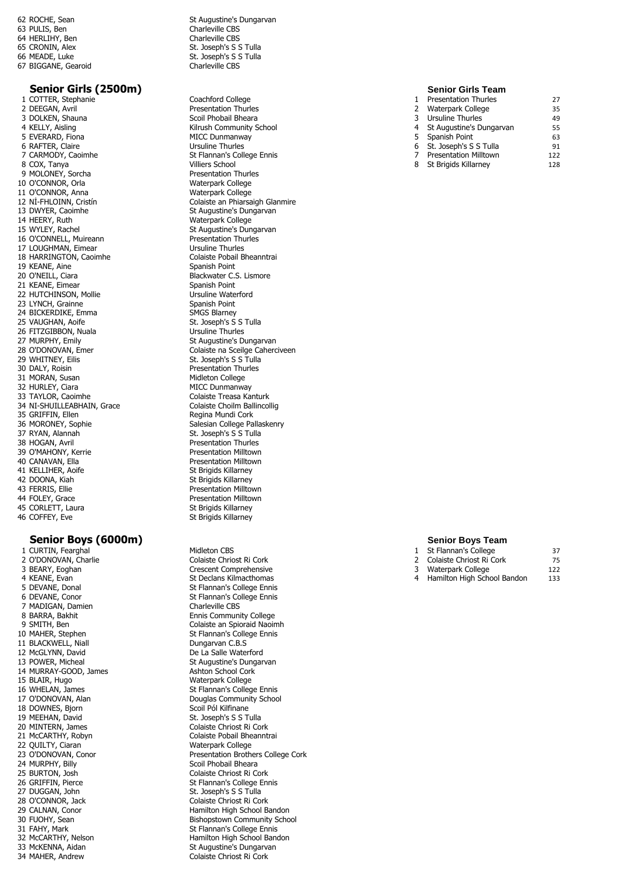64 HERLIHY, Ben<br>65 CRONIN, Alex 67 BIGGANE, Gearoid

# **Senior Girls (2500m) Senior Girls Team**<br>
Coachford College **Senior Contained Account College Senior Contained Account Contained Account Contained Account Coachford College Senior Contained Account Contained Account**

1 COTTER, Stephanie<br>2 DEEGAN, Avril 3 DOLKEN, Shauna 4 KELLY, Aisling<br>
5 EVERARD, Fiona<br>
6 RAFTER, Claire<br>
6 RAFTER, Claire 6 RAFTER, Claire<br>7 CARMODY, Caoimhe 8 COX, Tanya 9 MOLONEY, Sorcha Presentation Thurles 10 O'CONNOR, Orla Waterpark College 11 O'CONNOR, Anna<br>12 NI-FHLOINN, Cristín 13 DWYER, Caoimhe St Augustine's Dungarvan<br>14 HEERY, Ruth St Augustine's Dungarvan 14 HEERY, Ruth Waterpark College<br>15 WYLEY, Rachel Water St Augustine's Dun 16 O'CONNELL, Muireann Presentation Thurles 17 LOUGHMAN, Eimear **Institute Collaine Thurles**<br>18 HARRINGTON, Caoimhe **Institute Collaiste Pobail Bheanntrai** 18 HARRINGTON, Caoimhe Colaiste Pobai<br>19 KEANE, Aine Caoimhe Channais Spanish Point 19 KEANE, Aine<br>20 O'NEILL, Ciara 21 KEANE, Eimear 22 HUTCHINSON, Mollie Ursuline Waterford 23 LYNCH, Grainne Spanish Point (1989) Spanish Point (1989) Spanish Point (1989) SMGS Blarney 24 BICKERDIKE, Emma<br>25 VAUGHAN, Aoife 26 FITZGIBBON, Nuala<br>27 MURPHY, Emily 29 WHITNEY, Eilis St. Joseph's S S Tulla 30 DALY, Roisin **Presentation Thurles**<br>31 MORAN, Susan **Presentation College** 31 MORAN, Susan<br>32 HURLEY, Ciara 32 HURLEY, Ciara MICC Dunmanway<br>33 TAYLOR. Caoimhe Marchael Colaiste Treasa Ka 34 NI-SHUILLEABHAIN, Grace 35 GRIFFIN, Ellen Regina Mundi Cork 36 MORONEY, Sophie Salesian College Pallaskenry<br>37 RYAN, Alannah Sales Sales St. Joseph's S S Tulla 37 RYAN, Alannah St. Joseph's S S Tulla<br>38 HOGAN, Avril St. Joseph's S S Tulla 39 O'MAHONY, Kerrie **Presentation Milltown**<br>40 CANAVAN Fila 40 CANAVAN, Ella 41 KELLIHER, Aoife St Brigids Killarney 42 DOONA, Kiah St Brigids Killarney<br>43 FERRIS, Ellie St Brigids Bresentation Millto 43 FERRIS, Ellie **Carlistian Communist Communist Presentation Milltown**<br>44 FOLEY, Grace **Presentation Milltown** 45 CORLETT, Laura<br>46 COFFEY, Eve

### **Senior Boys (6000m) Senior Boys Team**

1 CURTIN, Fearghal Midleton CBS<br>
2 O'DONOVAN, Charlie Colaiste Chric 2 O'DONOVAN, Charlie Colaiste Chriost Ri Cork<br>3 BEARY, Eoghan Crescent Comprehensiv 3 BEARY, Eoghan Crescent Comprehensive<br>
4 KEANE, Evan Crescent Comprehensive<br>
Crescent Comprehensive 4 KEANE, Evan St Declans Kilmacthomas<br>
St Flannan's College Ennis<br>
St Flannan's College Ennis 6 DEVANE, Conor St Flannan's College Ennis 7 MADIGAN, Damien<br>8 BARRA, Bakhit 8 BARRA, Bakhit **Ennis Community College**<br>9 SMITH, Ben **Ennis College** Colaiste an Spioraid Naoir 9 SMITH, Ben Colaiste an Spioraid Naoimh<br>10 MAHER, Stephen Colaiste an Stephen Stephen Stephen Stephen Stephen Stephen Stephen Stephen Stephen Stephen 11 BLACKWELL, Niall **Dungarvan C.B.S** 12 McGLYNN, David<br>13 POWER, Micheal De La Salle Waterford<br>13 POWER, Micheal De La Salle St Augustine's Dungar 14 MURRAY-GOOD, James<br>15 BLAIR, Hugo 16 WHELAN, James St Flannan's College Ennis 17 O'DONOVAN, Alan Douglas Community School 18 DOWNES, Bjorn Scoil Pól Kilfinane<br>19 MEEHAN, David Scotland St. Joseph's S S T 19 MEEHAN, David<br>
20 MINTERN, James<br>
Colaiste Chriost Ri Co 20 MINTERN, James Colaiste Chriost Ri Cork<br>21 McCARTHY, Robyn Colaiste Pobail Bheannt 22 QUILTY, Ciaran Materpark College 24 MURPHY, Billy Scoil Phobail Bheara<br>25 BURTON, Josh Scoil Phobail Bheara 25 BURTON, Josh Colaiste Chriost Ri Cork<br>26 GRIFFIN, Pierce Christian St Flannan's College En 27 DUGGAN, John St. Joseph's S S Tulla<br>
28 O'CONNOR, Jack St. Joseph's S S Tulla 28 O'CONNOR, Jack Colaiste Chriost Ri Cork 29 CALNAN, Conor Colaiste Chriost Ri Cork Hamilton High School B 31 FAHY, Mark St Flannan's College Ennis<br>32 McCARTHY, Nelson St Flamilton High School Band 34 MAHER, Andrew

62 ROCHE, Sean State and State State Sungarvan<br>63 PULIS, Ben State State Scharleville CBS Charleville CBS<br>Charleville CBS 65 CRONIN, Alex St. Joseph's S S Tulla<br>66 MEADE Luke St. Joseph's S S Tulla St. Joseph's S S Tulla<br>Charleville CBS

Presentation Thurles<br>Scoil Phobail Bheara Kilrush Community School St Flannan's College Ennis<br>Villiers School 12 NÍ-FHLOINN, Cristín **Chaiste an Phiarsaigh Glanmire**<br>13 DWYER, Caoimhe **Chaisting Colaist Colaist Colaistine's** Dungarvan St Augustine's Dungarvan Blackwater C.S. Lismore<br>Spanish Point St. Joseph's S S Tulla<br>Ursuline Thurles St Augustine's Dungarvan 28 O'DONOVAN, Emer Colaiste Treasa Kanturk<br>Colaiste Choilm Ballincollig Presentation Thurles<br>Presentation Milltown Presentation Milltown<br>St Brigids Killarney St Brigids Killarney

St Flannan's College Ennis St Flannan's College Ennis St Augustine's Dungarvan<br>Ashton School Cork Waterpark College Colaiste Pobail Bheanntrai 23 O'DONOVAN, Conor Presentation Brothers College Cork St Flannan's College Ennis Hamilton High School Bandon 30 FUOHY, Sean Bishopstown Community School<br>31 FAHY, Mark Bishopstown St Flannan's College Ennis 32 McCARTHY, Nelson Hamilton High School Bandon<br>33 McKENNA, Aidan Hamilton High St Augustine's Dungarvan St Augustine's Dungarvan<br>Colaiste Chriost Ri Cork

|   | <b>Presentation Thurles</b>  | 27  |
|---|------------------------------|-----|
| 2 | Waterpark College            | 35  |
| 3 | Ursuline Thurles             | 49  |
| 4 | St Augustine's Dungarvan     | 55  |
| 5 | Spanish Point                | 63  |
| 6 | St. Joseph's S S Tulla       | 91  |
|   | <b>Presentation Milltown</b> | 122 |
| 8 | St Brigids Killarney         | 128 |

|   | St Flannan's College        | 37  |
|---|-----------------------------|-----|
|   | Colaiste Chriost Ri Cork    | 75  |
| 3 | Waterpark College           | 122 |
| 4 | Hamilton High School Bandon | 133 |